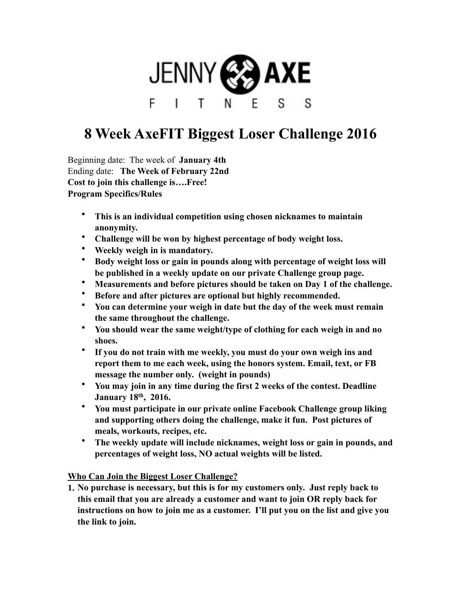

## **8 Week AxeFIT Biggest Loser Challenge 2016**

Beginning date: The week of **January 4th** Ending date: **The Week of February 22nd Cost to join this challenge is….Free! Program Specifics/Rules** 

- **This is an individual competition using chosen nicknames to maintain anonymity.**
- **Challenge will be won by highest percentage of body weight loss.**
- **Weekly weigh in is mandatory.**
- **Body weight loss or gain in pounds along with percentage of weight loss will be published in a weekly update on our private Challenge group page.**
- **Measurements and before pictures should be taken on Day 1 of the challenge.**
- **Before and after pictures are optional but highly recommended.**
- **You can determine your weigh in date but the day of the week must remain the same throughout the challenge.**
- **You should wear the same weight/type of clothing for each weigh in and no shoes.**
- **If you do not train with me weekly, you must do your own weigh ins and report them to me each week, using the honors system. Email, text, or FB message the number only. (weight in pounds)**
- **You may join in any time during the first 2 weeks of the contest. Deadline January 18th, 2016.**
- **You must participate in our private online Facebook Challenge group liking and supporting others doing the challenge, make it fun. Post pictures of meals, workouts, recipes, etc.**
- **The weekly update will include nicknames, weight loss or gain in pounds, and percentages of weight loss, NO actual weights will be listed.**

**Who Can Join the Biggest Loser Challenge?** 

**1. No purchase is necessary, but this is for my customers only. Just reply back to this email that you are already a customer and want to join OR reply back for instructions on how to join me as a customer. I'll put you on the list and give you the link to join.**